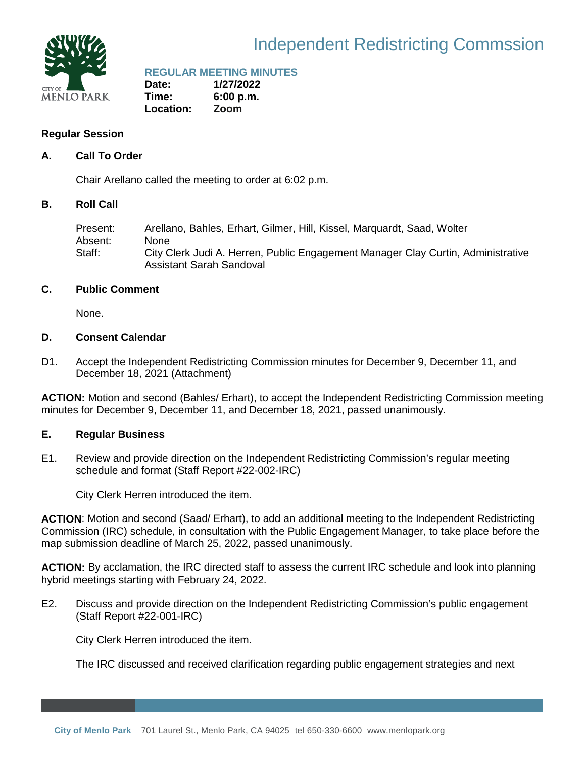

# Independent Redistricting Commssion

## **REGULAR MEETING MINUTES**

**Date: 1/27/2022 Time: 6:00 p.m. Location: Zoom**

## **Regular Session**

## **A. Call To Order**

Chair Arellano called the meeting to order at 6:02 p.m.

## **B. Roll Call**

Present: Arellano, Bahles, Erhart, Gilmer, Hill, Kissel, Marquardt, Saad, Wolter Absent: None Staff: City Clerk Judi A. Herren, Public Engagement Manager Clay Curtin, Administrative Assistant Sarah Sandoval

## **C. Public Comment**

None.

## **D. Consent Calendar**

D1. Accept the Independent Redistricting Commission minutes for December 9, December 11, and December 18, 2021 (Attachment)

**ACTION:** Motion and second (Bahles/ Erhart), to accept the Independent Redistricting Commission meeting minutes for December 9, December 11, and December 18, 2021, passed unanimously.

## **E. Regular Business**

E1. Review and provide direction on the Independent Redistricting Commission's regular meeting schedule and format (Staff Report #22-002-IRC)

City Clerk Herren introduced the item.

**ACTION**: Motion and second (Saad/ Erhart), to add an additional meeting to the Independent Redistricting Commission (IRC) schedule, in consultation with the Public Engagement Manager, to take place before the map submission deadline of March 25, 2022, passed unanimously.

**ACTION:** By acclamation, the IRC directed staff to assess the current IRC schedule and look into planning hybrid meetings starting with February 24, 2022.

E2. Discuss and provide direction on the Independent Redistricting Commission's public engagement (Staff Report #22-001-IRC)

City Clerk Herren introduced the item.

The IRC discussed and received clarification regarding public engagement strategies and next